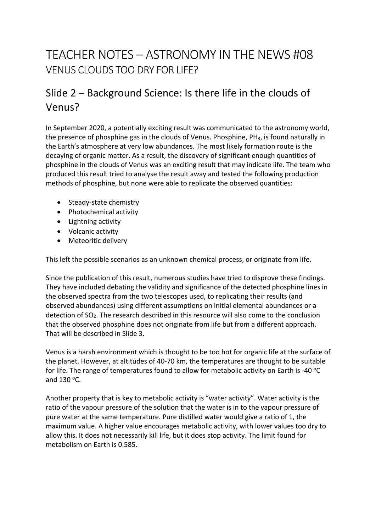# TEACHER NOTES – ASTRONOMY IN THE NEWS #08 VENUS CLOUDS TOO DRY FOR LIFE?

## Slide 2 – Background Science: Is there life in the clouds of Venus?

In September 2020, a potentially exciting result was communicated to the astronomy world, the presence of phosphine gas in the clouds of Venus. Phosphine, PH3, is found naturally in the Earth's atmosphere at very low abundances. The most likely formation route is the decaying of organic matter. As a result, the discovery of significant enough quantities of phosphine in the clouds of Venus was an exciting result that may indicate life. The team who produced this result tried to analyse the result away and tested the following production methods of phosphine, but none were able to replicate the observed quantities:

- Steady-state chemistry
- Photochemical activity
- Lightning activity
- Volcanic activity
- Meteoritic delivery

This left the possible scenarios as an unknown chemical process, or originate from life.

Since the publication of this result, numerous studies have tried to disprove these findings. They have included debating the validity and significance of the detected phosphine lines in the observed spectra from the two telescopes used, to replicating their results (and observed abundances) using different assumptions on initial elemental abundances or a detection of SO2. The research described in this resource will also come to the conclusion that the observed phosphine does not originate from life but from a different approach. That will be described in Slide 3.

Venus is a harsh environment which is thought to be too hot for organic life at the surface of the planet. However, at altitudes of 40-70 km, the temperatures are thought to be suitable for life. The range of temperatures found to allow for metabolic activity on Earth is -40  $\degree$ C and  $130^{\circ}$ C.

Another property that is key to metabolic activity is "water activity". Water activity is the ratio of the vapour pressure of the solution that the water is in to the vapour pressure of pure water at the same temperature. Pure distilled water would give a ratio of 1, the maximum value. A higher value encourages metabolic activity, with lower values too dry to allow this. It does not necessarily kill life, but it does stop activity. The limit found for metabolism on Earth is 0.585.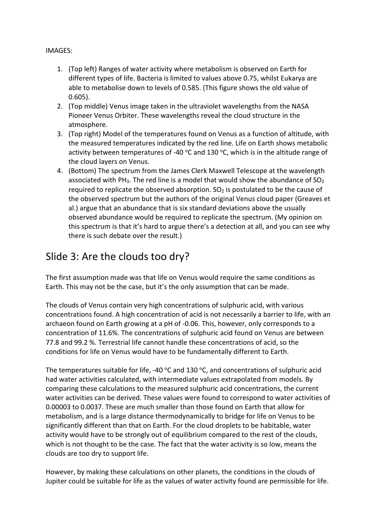#### IMAGES:

- 1. (Top left) Ranges of water activity where metabolism is observed on Earth for different types of life. Bacteria is limited to values above 0.75, whilst Eukarya are able to metabolise down to levels of 0.585. (This figure shows the old value of 0.605).
- 2. (Top middle) Venus image taken in the ultraviolet wavelengths from the NASA Pioneer Venus Orbiter. These wavelengths reveal the cloud structure in the atmosphere.
- 3. (Top right) Model of the temperatures found on Venus as a function of altitude, with the measured temperatures indicated by the red line. Life on Earth shows metabolic activity between temperatures of -40  $\degree$ C and 130  $\degree$ C, which is in the altitude range of the cloud layers on Venus.
- 4. (Bottom) The spectrum from the James Clerk Maxwell Telescope at the wavelength associated with PH<sub>3</sub>. The red line is a model that would show the abundance of  $SO<sub>2</sub>$ required to replicate the observed absorption.  $SO<sub>2</sub>$  is postulated to be the cause of the observed spectrum but the authors of the original Venus cloud paper (Greaves et al.) argue that an abundance that is six standard deviations above the usually observed abundance would be required to replicate the spectrum. (My opinion on this spectrum is that it's hard to argue there's a detection at all, and you can see why there is such debate over the result.)

### Slide 3: Are the clouds too dry?

The first assumption made was that life on Venus would require the same conditions as Earth. This may not be the case, but it's the only assumption that can be made.

The clouds of Venus contain very high concentrations of sulphuric acid, with various concentrations found. A high concentration of acid is not necessarily a barrier to life, with an archaeon found on Earth growing at a pH of -0.06. This, however, only corresponds to a concentration of 11.6%. The concentrations of sulphuric acid found on Venus are between 77.8 and 99.2 %. Terrestrial life cannot handle these concentrations of acid, so the conditions for life on Venus would have to be fundamentally different to Earth.

The temperatures suitable for life, -40  $\degree$ C and 130  $\degree$ C, and concentrations of sulphuric acid had water activities calculated, with intermediate values extrapolated from models. By comparing these calculations to the measured sulphuric acid concentrations, the current water activities can be derived. These values were found to correspond to water activities of 0.00003 to 0.0037. These are much smaller than those found on Earth that allow for metabolism, and is a large distance thermodynamically to bridge for life on Venus to be significantly different than that on Earth. For the cloud droplets to be habitable, water activity would have to be strongly out of equilibrium compared to the rest of the clouds, which is not thought to be the case. The fact that the water activity is so low, means the clouds are too dry to support life.

However, by making these calculations on other planets, the conditions in the clouds of Jupiter could be suitable for life as the values of water activity found are permissible for life.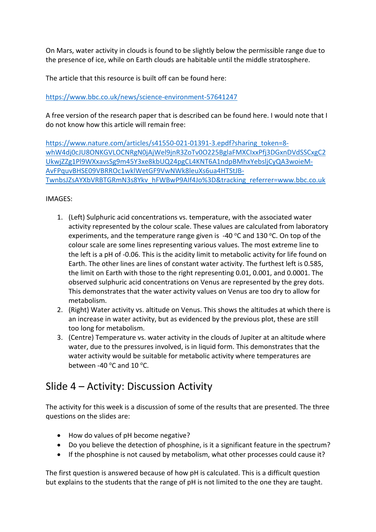On Mars, water activity in clouds is found to be slightly below the permissible range due to the presence of ice, while on Earth clouds are habitable until the middle stratosphere.

The article that this resource is built off can be found here:

https://www.bbc.co.uk/news/science-environment-57641247

A free version of the research paper that is described can be found here. I would note that I do not know how this article will remain free:

https://www.nature.com/articles/s41550-021-01391-3.epdf?sharing\_token=8 whW4dj0cJU8ONKGVLOCNRgN0jAjWel9jnR3ZoTv0O225BglaFMXCIxxPfj3DGxnDVdSSCxgC2 UkwjZZg1Pl9WXxavsSg9m45Y3xe8kbUQ24pgCL4KNT6A1ndpBMhxYebsljCyQA3woieM-AvFPquvBHSE09VBRROc1wklWetGF9VwNWk8leuXs6ua4HTStJB-TwnbsJZsAYXbVRBTGRmN3s8Ykv\_hFWBwP9AIf4Jo%3D&tracking\_referrer=www.bbc.co.uk

#### IMAGES:

- 1. (Left) Sulphuric acid concentrations vs. temperature, with the associated water activity represented by the colour scale. These values are calculated from laboratory experiments, and the temperature range given is  $-40^{\circ}$ C and 130 °C. On top of the colour scale are some lines representing various values. The most extreme line to the left is a pH of -0.06. This is the acidity limit to metabolic activity for life found on Earth. The other lines are lines of constant water activity. The furthest left is 0.585, the limit on Earth with those to the right representing 0.01, 0.001, and 0.0001. The observed sulphuric acid concentrations on Venus are represented by the grey dots. This demonstrates that the water activity values on Venus are too dry to allow for metabolism.
- 2. (Right) Water activity vs. altitude on Venus. This shows the altitudes at which there is an increase in water activity, but as evidenced by the previous plot, these are still too long for metabolism.
- 3. (Centre) Temperature vs. water activity in the clouds of Jupiter at an altitude where water, due to the pressures involved, is in liquid form. This demonstrates that the water activity would be suitable for metabolic activity where temperatures are between -40 $\degree$ C and 10 $\degree$ C.

### Slide 4 – Activity: Discussion Activity

The activity for this week is a discussion of some of the results that are presented. The three questions on the slides are:

- How do values of pH become negative?
- Do you believe the detection of phosphine, is it a significant feature in the spectrum?
- If the phosphine is not caused by metabolism, what other processes could cause it?

The first question is answered because of how pH is calculated. This is a difficult question but explains to the students that the range of pH is not limited to the one they are taught.